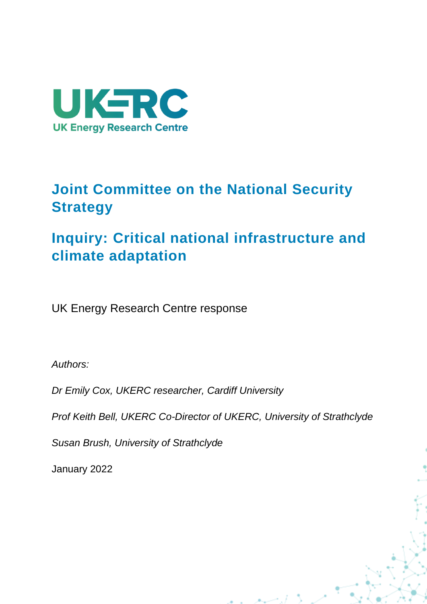

# **Joint Committee on the National Security Strategy**

# **Inquiry: Critical national infrastructure and climate adaptation**

UK Energy Research Centre response

*Authors:*

*Dr Emily Cox, UKERC researcher, Cardiff University* 

*Prof Keith Bell, UKERC Co-Director of UKERC, University of Strathclyde* 

ر استرالا

*Susan Brush, University of Strathclyde*

January 2022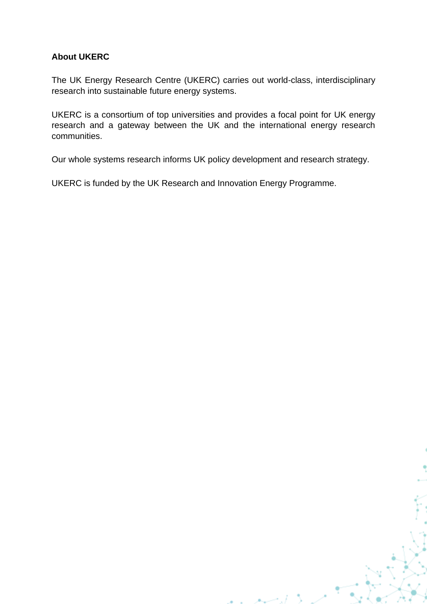#### **About UKERC**

The UK Energy Research Centre (UKERC) carries out world-class, interdisciplinary research into sustainable future energy systems.

UKERC is a consortium of top universities and provides a focal point for UK energy research and a gateway between the UK and the international energy research communities.

Our whole systems research informs UK policy development and research strategy.

ان سب ه

UKERC is funded by the UK Research and Innovation Energy Programme.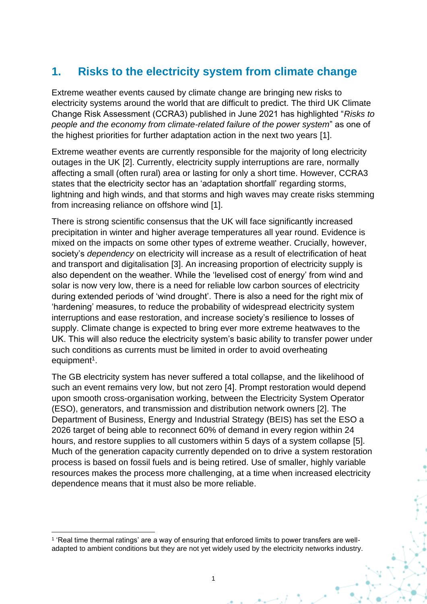# **1. Risks to the electricity system from climate change**

Extreme weather events caused by climate change are bringing new risks to electricity systems around the world that are difficult to predict. The third UK Climate Change Risk Assessment (CCRA3) published in June 2021 has highlighted "*Risks to people and the economy from climate-related failure of the power system*" as one of the highest priorities for further adaptation action in the next two years [1].

Extreme weather events are currently responsible for the majority of long electricity outages in the UK [2]. Currently, electricity supply interruptions are rare, normally affecting a small (often rural) area or lasting for only a short time. However, CCRA3 states that the electricity sector has an 'adaptation shortfall' regarding storms, lightning and high winds, and that storms and high waves may create risks stemming from increasing reliance on offshore wind [1].

There is strong scientific consensus that the UK will face significantly increased precipitation in winter and higher average temperatures all year round. Evidence is mixed on the impacts on some other types of extreme weather. Crucially, however, society's *dependency* on electricity will increase as a result of electrification of heat and transport and digitalisation [3]. An increasing proportion of electricity supply is also dependent on the weather. While the 'levelised cost of energy' from wind and solar is now very low, there is a need for reliable low carbon sources of electricity during extended periods of 'wind drought'. There is also a need for the right mix of 'hardening' measures, to reduce the probability of widespread electricity system interruptions and ease restoration, and increase society's resilience to losses of supply. Climate change is expected to bring ever more extreme heatwaves to the UK. This will also reduce the electricity system's basic ability to transfer power under such conditions as currents must be limited in order to avoid overheating equipment<sup>1</sup>.

The GB electricity system has never suffered a total collapse, and the likelihood of such an event remains very low, but not zero [4]. Prompt restoration would depend upon smooth cross-organisation working, between the Electricity System Operator (ESO), generators, and transmission and distribution network owners [2]. The Department of Business, Energy and Industrial Strategy (BEIS) has set the ESO a 2026 target of being able to reconnect 60% of demand in every region within 24 hours, and restore supplies to all customers within 5 days of a system collapse [5]. Much of the generation capacity currently depended on to drive a system restoration process is based on fossil fuels and is being retired. Use of smaller, highly variable resources makes the process more challenging, at a time when increased electricity dependence means that it must also be more reliable.

<sup>1</sup> 'Real time thermal ratings' are a way of ensuring that enforced limits to power transfers are welladapted to ambient conditions but they are not yet widely used by the electricity networks industry.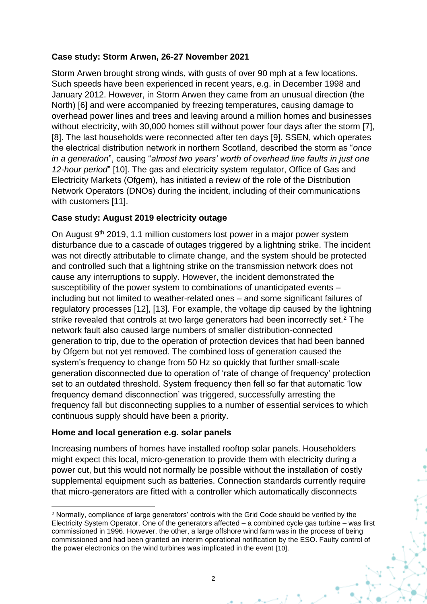#### **Case study: Storm Arwen, 26-27 November 2021**

Storm Arwen brought strong winds, with gusts of over 90 mph at a few locations. Such speeds have been experienced in recent years, e.g. in December 1998 and January 2012. However, in Storm Arwen they came from an unusual direction (the North) [6] and were accompanied by freezing temperatures, causing damage to overhead power lines and trees and leaving around a million homes and businesses without electricity, with 30,000 homes still without power four days after the storm [7], [8]. The last households were reconnected after ten days [9]. SSEN, which operates the electrical distribution network in northern Scotland, described the storm as "*once in a generation*", causing "*almost two years' worth of overhead line faults in just one 12-hour period*" [10]. The gas and electricity system regulator, Office of Gas and Electricity Markets (Ofgem), has initiated a review of the role of the Distribution Network Operators (DNOs) during the incident, including of their communications with customers [11].

#### **Case study: August 2019 electricity outage**

On August 9th 2019, 1.1 million customers lost power in a major power system disturbance due to a cascade of outages triggered by a lightning strike. The incident was not directly attributable to climate change, and the system should be protected and controlled such that a lightning strike on the transmission network does not cause any interruptions to supply. However, the incident demonstrated the susceptibility of the power system to combinations of unanticipated events – including but not limited to weather-related ones – and some significant failures of regulatory processes [12], [13]. For example, the voltage dip caused by the lightning strike revealed that controls at two large generators had been incorrectly set.<sup>2</sup> The network fault also caused large numbers of smaller distribution-connected generation to trip, due to the operation of protection devices that had been banned by Ofgem but not yet removed. The combined loss of generation caused the system's frequency to change from 50 Hz so quickly that further small-scale generation disconnected due to operation of 'rate of change of frequency' protection set to an outdated threshold. System frequency then fell so far that automatic 'low frequency demand disconnection' was triggered, successfully arresting the frequency fall but disconnecting supplies to a number of essential services to which continuous supply should have been a priority.

#### **Home and local generation e.g. solar panels**

Increasing numbers of homes have installed rooftop solar panels. Householders might expect this local, micro-generation to provide them with electricity during a power cut, but this would not normally be possible without the installation of costly supplemental equipment such as batteries. Connection standards currently require that micro-generators are fitted with a controller which automatically disconnects

<sup>2</sup> Normally, compliance of large generators' controls with the Grid Code should be verified by the Electricity System Operator. One of the generators affected – a combined cycle gas turbine – was first commissioned in 1996. However, the other, a large offshore wind farm was in the process of being commissioned and had been granted an interim operational notification by the ESO. Faulty control of the power electronics on the wind turbines was implicated in the event [10].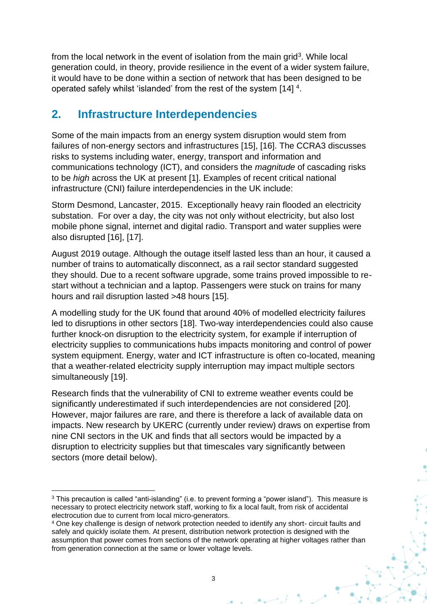from the local network in the event of isolation from the main grid<sup>3</sup>. While local generation could, in theory, provide resilience in the event of a wider system failure, it would have to be done within a section of network that has been designed to be operated safely whilst 'islanded' from the rest of the system [14] <sup>4</sup>.

## **2. Infrastructure Interdependencies**

Some of the main impacts from an energy system disruption would stem from failures of non-energy sectors and infrastructures [15], [16]. The CCRA3 discusses risks to systems including water, energy, transport and information and communications technology (ICT), and considers the *magnitude* of cascading risks to be *high* across the UK at present [1]. Examples of recent critical national infrastructure (CNI) failure interdependencies in the UK include:

Storm Desmond, Lancaster, 2015. Exceptionally heavy rain flooded an electricity substation. For over a day, the city was not only without electricity, but also lost mobile phone signal, internet and digital radio. Transport and water supplies were also disrupted [16], [17].

August 2019 outage. Although the outage itself lasted less than an hour, it caused a number of trains to automatically disconnect, as a rail sector standard suggested they should. Due to a recent software upgrade, some trains proved impossible to restart without a technician and a laptop. Passengers were stuck on trains for many hours and rail disruption lasted >48 hours [15].

A modelling study for the UK found that around 40% of modelled electricity failures led to disruptions in other sectors [18]. Two-way interdependencies could also cause further knock-on disruption to the electricity system, for example if interruption of electricity supplies to communications hubs impacts monitoring and control of power system equipment. Energy, water and ICT infrastructure is often co-located, meaning that a weather-related electricity supply interruption may impact multiple sectors simultaneously [19].

Research finds that the vulnerability of CNI to extreme weather events could be significantly underestimated if such interdependencies are not considered [20]. However, major failures are rare, and there is therefore a lack of available data on impacts. New research by UKERC (currently under review) draws on expertise from nine CNI sectors in the UK and finds that all sectors would be impacted by a disruption to electricity supplies but that timescales vary significantly between sectors (more detail below).

<sup>3</sup> This precaution is called "anti-islanding" (i.e. to prevent forming a "power island"). This measure is necessary to protect electricity network staff, working to fix a local fault, from risk of accidental electrocution due to current from local micro-generators.

<sup>&</sup>lt;sup>4</sup> One key challenge is design of network protection needed to identify any short- circuit faults and safely and quickly isolate them. At present, distribution network protection is designed with the assumption that power comes from sections of the network operating at higher voltages rather than from generation connection at the same or lower voltage levels.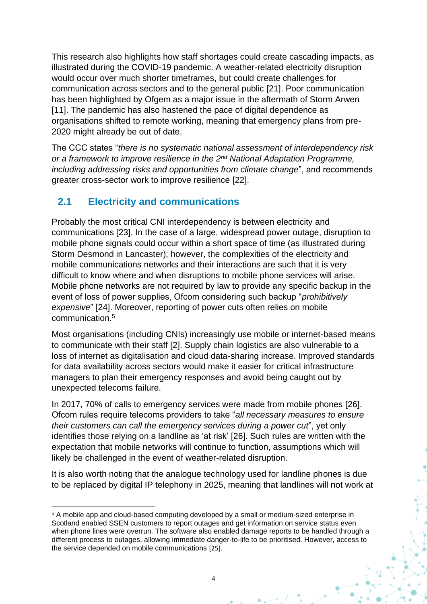This research also highlights how staff shortages could create cascading impacts, as illustrated during the COVID-19 pandemic. A weather-related electricity disruption would occur over much shorter timeframes, but could create challenges for communication across sectors and to the general public [21]. Poor communication has been highlighted by Ofgem as a major issue in the aftermath of Storm Arwen [11]. The pandemic has also hastened the pace of digital dependence as organisations shifted to remote working, meaning that emergency plans from pre-2020 might already be out of date.

The CCC states "*there is no systematic national assessment of interdependency risk or a framework to improve resilience in the 2nd National Adaptation Programme, including addressing risks and opportunities from climate change*", and recommends greater cross-sector work to improve resilience [22].

### **2.1 Electricity and communications**

Probably the most critical CNI interdependency is between electricity and communications [23]. In the case of a large, widespread power outage, disruption to mobile phone signals could occur within a short space of time (as illustrated during Storm Desmond in Lancaster); however, the complexities of the electricity and mobile communications networks and their interactions are such that it is very difficult to know where and when disruptions to mobile phone services will arise. Mobile phone networks are not required by law to provide any specific backup in the event of loss of power supplies, Ofcom considering such backup "*prohibitively expensive*" [24]. Moreover, reporting of power cuts often relies on mobile communication. 5

Most organisations (including CNIs) increasingly use mobile or internet-based means to communicate with their staff [2]. Supply chain logistics are also vulnerable to a loss of internet as digitalisation and cloud data-sharing increase. Improved standards for data availability across sectors would make it easier for critical infrastructure managers to plan their emergency responses and avoid being caught out by unexpected telecoms failure.

In 2017, 70% of calls to emergency services were made from mobile phones [26]. Ofcom rules require telecoms providers to take "*all necessary measures to ensure their customers can call the emergency services during a power cut*", yet only identifies those relying on a landline as 'at risk' [26]. Such rules are written with the expectation that mobile networks will continue to function, assumptions which will likely be challenged in the event of weather-related disruption.

It is also worth noting that the analogue technology used for landline phones is due to be replaced by digital IP telephony in 2025, meaning that landlines will not work at

<sup>5</sup> A mobile app and cloud-based computing developed by a small or medium-sized enterprise in Scotland enabled SSEN customers to report outages and get information on service status even when phone lines were overrun. The software also enabled damage reports to be handled through a different process to outages, allowing immediate danger-to-life to be prioritised. However, access to the service depended on mobile communications [25].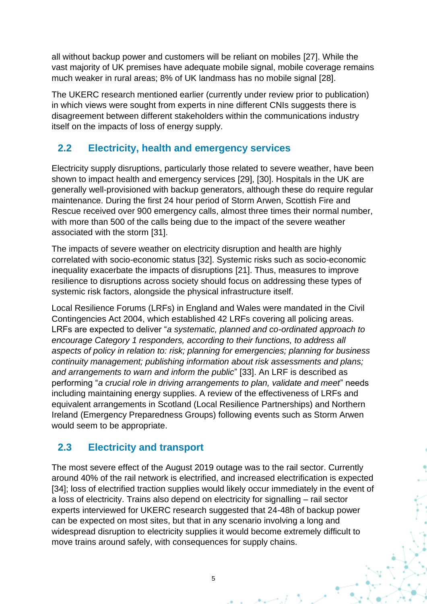all without backup power and customers will be reliant on mobiles [27]. While the vast majority of UK premises have adequate mobile signal, mobile coverage remains much weaker in rural areas; 8% of UK landmass has no mobile signal [28].

The UKERC research mentioned earlier (currently under review prior to publication) in which views were sought from experts in nine different CNIs suggests there is disagreement between different stakeholders within the communications industry itself on the impacts of loss of energy supply.

### **2.2 Electricity, health and emergency services**

Electricity supply disruptions, particularly those related to severe weather, have been shown to impact health and emergency services [29], [30]. Hospitals in the UK are generally well-provisioned with backup generators, although these do require regular maintenance. During the first 24 hour period of Storm Arwen, Scottish Fire and Rescue received over 900 emergency calls, almost three times their normal number, with more than 500 of the calls being due to the impact of the severe weather associated with the storm [31].

The impacts of severe weather on electricity disruption and health are highly correlated with socio-economic status [32]. Systemic risks such as socio-economic inequality exacerbate the impacts of disruptions [21]. Thus, measures to improve resilience to disruptions across society should focus on addressing these types of systemic risk factors, alongside the physical infrastructure itself.

Local Resilience Forums (LRFs) in England and Wales were mandated in the Civil Contingencies Act 2004, which established 42 LRFs covering all policing areas. LRFs are expected to deliver "*a systematic, planned and co-ordinated approach to encourage Category 1 responders, according to their functions, to address all aspects of policy in relation to: risk; planning for emergencies; planning for business continuity management; publishing information about risk assessments and plans; and arrangements to warn and inform the public*" [33]. An LRF is described as performing "*a crucial role in driving arrangements to plan, validate and meet*" needs including maintaining energy supplies. A review of the effectiveness of LRFs and equivalent arrangements in Scotland (Local Resilience Partnerships) and Northern Ireland (Emergency Preparedness Groups) following events such as Storm Arwen would seem to be appropriate.

## **2.3 Electricity and transport**

The most severe effect of the August 2019 outage was to the rail sector. Currently around 40% of the rail network is electrified, and increased electrification is expected [34]; loss of electrified traction supplies would likely occur immediately in the event of a loss of electricity. Trains also depend on electricity for signalling – rail sector experts interviewed for UKERC research suggested that 24-48h of backup power can be expected on most sites, but that in any scenario involving a long and widespread disruption to electricity supplies it would become extremely difficult to move trains around safely, with consequences for supply chains.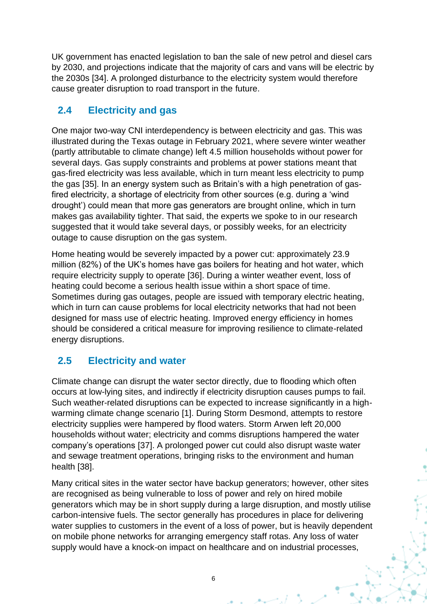UK government has enacted legislation to ban the sale of new petrol and diesel cars by 2030, and projections indicate that the majority of cars and vans will be electric by the 2030s [34]. A prolonged disturbance to the electricity system would therefore cause greater disruption to road transport in the future.

### **2.4 Electricity and gas**

One major two-way CNI interdependency is between electricity and gas. This was illustrated during the Texas outage in February 2021, where severe winter weather (partly attributable to climate change) left 4.5 million households without power for several days. Gas supply constraints and problems at power stations meant that gas-fired electricity was less available, which in turn meant less electricity to pump the gas [35]. In an energy system such as Britain's with a high penetration of gasfired electricity, a shortage of electricity from other sources (e.g. during a 'wind drought') could mean that more gas generators are brought online, which in turn makes gas availability tighter. That said, the experts we spoke to in our research suggested that it would take several days, or possibly weeks, for an electricity outage to cause disruption on the gas system.

Home heating would be severely impacted by a power cut: approximately 23.9 million (82%) of the UK's homes have gas boilers for heating and hot water, which require electricity supply to operate [36]. During a winter weather event, loss of heating could become a serious health issue within a short space of time. Sometimes during gas outages, people are issued with temporary electric heating, which in turn can cause problems for local electricity networks that had not been designed for mass use of electric heating. Improved energy efficiency in homes should be considered a critical measure for improving resilience to climate-related energy disruptions.

## **2.5 Electricity and water**

Climate change can disrupt the water sector directly, due to flooding which often occurs at low-lying sites, and indirectly if electricity disruption causes pumps to fail. Such weather-related disruptions can be expected to increase significantly in a highwarming climate change scenario [1]. During Storm Desmond, attempts to restore electricity supplies were hampered by flood waters. Storm Arwen left 20,000 households without water; electricity and comms disruptions hampered the water company's operations [37]. A prolonged power cut could also disrupt waste water and sewage treatment operations, bringing risks to the environment and human health [38].

Many critical sites in the water sector have backup generators; however, other sites are recognised as being vulnerable to loss of power and rely on hired mobile generators which may be in short supply during a large disruption, and mostly utilise carbon-intensive fuels. The sector generally has procedures in place for delivering water supplies to customers in the event of a loss of power, but is heavily dependent on mobile phone networks for arranging emergency staff rotas. Any loss of water supply would have a knock-on impact on healthcare and on industrial processes,

6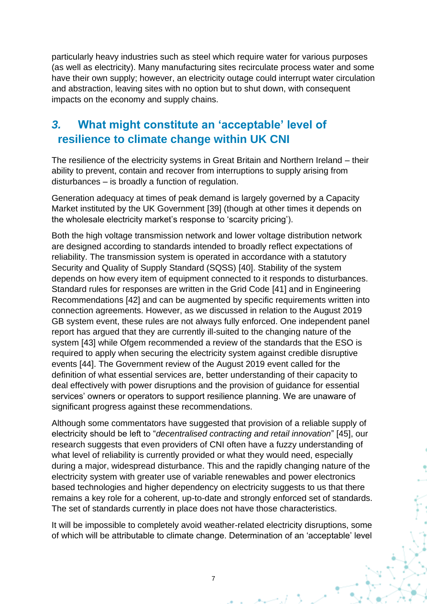particularly heavy industries such as steel which require water for various purposes (as well as electricity). Many manufacturing sites recirculate process water and some have their own supply; however, an electricity outage could interrupt water circulation and abstraction, leaving sites with no option but to shut down, with consequent impacts on the economy and supply chains.

# *3.* **What might constitute an 'acceptable' level of resilience to climate change within UK CNI**

The resilience of the electricity systems in Great Britain and Northern Ireland – their ability to prevent, contain and recover from interruptions to supply arising from disturbances – is broadly a function of regulation.

Generation adequacy at times of peak demand is largely governed by a Capacity Market instituted by the UK Government [39] (though at other times it depends on the wholesale electricity market's response to 'scarcity pricing').

Both the high voltage transmission network and lower voltage distribution network are designed according to standards intended to broadly reflect expectations of reliability. The transmission system is operated in accordance with a statutory Security and Quality of Supply Standard (SQSS) [40]. Stability of the system depends on how every item of equipment connected to it responds to disturbances. Standard rules for responses are written in the Grid Code [41] and in Engineering Recommendations [42] and can be augmented by specific requirements written into connection agreements. However, as we discussed in relation to the August 2019 GB system event, these rules are not always fully enforced. One independent panel report has argued that they are currently ill-suited to the changing nature of the system [43] while Ofgem recommended a review of the standards that the ESO is required to apply when securing the electricity system against credible disruptive events [44]. The Government review of the August 2019 event called for the definition of what essential services are, better understanding of their capacity to deal effectively with power disruptions and the provision of guidance for essential services' owners or operators to support resilience planning. We are unaware of significant progress against these recommendations.

Although some commentators have suggested that provision of a reliable supply of electricity should be left to "*decentralised contracting and retail innovation*" [45], our research suggests that even providers of CNI often have a fuzzy understanding of what level of reliability is currently provided or what they would need, especially during a major, widespread disturbance. This and the rapidly changing nature of the electricity system with greater use of variable renewables and power electronics based technologies and higher dependency on electricity suggests to us that there remains a key role for a coherent, up-to-date and strongly enforced set of standards. The set of standards currently in place does not have those characteristics.

It will be impossible to completely avoid weather-related electricity disruptions, some of which will be attributable to climate change. Determination of an 'acceptable' level

7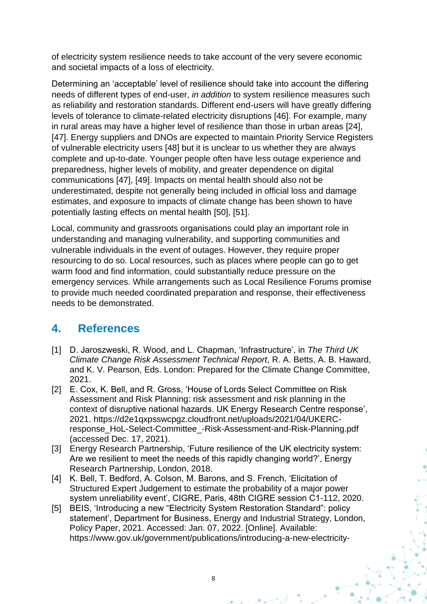of electricity system resilience needs to take account of the very severe economic and societal impacts of a loss of electricity.

Determining an 'acceptable' level of resilience should take into account the differing needs of different types of end-user, *in addition* to system resilience measures such as reliability and restoration standards. Different end-users will have greatly differing levels of tolerance to climate-related electricity disruptions [46]. For example, many in rural areas may have a higher level of resilience than those in urban areas [24], [47]. Energy suppliers and DNOs are expected to maintain Priority Service Registers of vulnerable electricity users [48] but it is unclear to us whether they are always complete and up-to-date. Younger people often have less outage experience and preparedness, higher levels of mobility, and greater dependence on digital communications [47], [49]. Impacts on mental health should also not be underestimated, despite not generally being included in official loss and damage estimates, and exposure to impacts of climate change has been shown to have potentially lasting effects on mental health [50], [51].

Local, community and grassroots organisations could play an important role in understanding and managing vulnerability, and supporting communities and vulnerable individuals in the event of outages. However, they require proper resourcing to do so. Local resources, such as places where people can go to get warm food and find information, could substantially reduce pressure on the emergency services. While arrangements such as Local Resilience Forums promise to provide much needed coordinated preparation and response, their effectiveness needs to be demonstrated.

## **4. References**

- [1] D. Jaroszweski, R. Wood, and L. Chapman, 'Infrastructure', in *The Third UK Climate Change Risk Assessment Technical Report*, R. A. Betts, A. B. Haward, and K. V. Pearson, Eds. London: Prepared for the Climate Change Committee, 2021.
- [2] E. Cox, K. Bell, and R. Gross, 'House of Lords Select Committee on Risk Assessment and Risk Planning: risk assessment and risk planning in the context of disruptive national hazards. UK Energy Research Centre response', 2021. https://d2e1qxpsswcpgz.cloudfront.net/uploads/2021/04/UKERCresponse\_HoL-Select-Committee\_-Risk-Assessment-and-Risk-Planning.pdf (accessed Dec. 17, 2021).
- [3] Energy Research Partnership, 'Future resilience of the UK electricity system: Are we resilient to meet the needs of this rapidly changing world?', Energy Research Partnership, London, 2018.
- [4] K. Bell, T. Bedford, A. Colson, M. Barons, and S. French, 'Elicitation of Structured Expert Judgement to estimate the probability of a major power system unreliability event', CIGRE, Paris, 48th CIGRE session C1-112, 2020.
- [5] BEIS, 'Introducing a new "Electricity System Restoration Standard": policy statement', Department for Business, Energy and Industrial Strategy, London, Policy Paper, 2021. Accessed: Jan. 07, 2022. [Online]. Available: https://www.gov.uk/government/publications/introducing-a-new-electricity-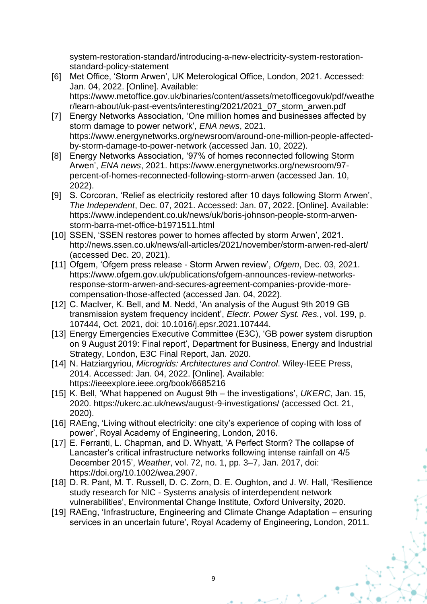system-restoration-standard/introducing-a-new-electricity-system-restorationstandard-policy-statement

- [6] Met Office, 'Storm Arwen', UK Meterological Office, London, 2021. Accessed: Jan. 04, 2022. [Online]. Available: https://www.metoffice.gov.uk/binaries/content/assets/metofficegovuk/pdf/weathe r/learn-about/uk-past-events/interesting/2021/2021\_07\_storm\_arwen.pdf
- [7] Energy Networks Association, 'One million homes and businesses affected by storm damage to power network', *ENA news*, 2021. https://www.energynetworks.org/newsroom/around-one-million-people-affectedby-storm-damage-to-power-network (accessed Jan. 10, 2022).
- [8] Energy Networks Association, '97% of homes reconnected following Storm Arwen', *ENA news*, 2021. https://www.energynetworks.org/newsroom/97 percent-of-homes-reconnected-following-storm-arwen (accessed Jan. 10, 2022).
- [9] S. Corcoran, 'Relief as electricity restored after 10 days following Storm Arwen', *The Independent*, Dec. 07, 2021. Accessed: Jan. 07, 2022. [Online]. Available: https://www.independent.co.uk/news/uk/boris-johnson-people-storm-arwenstorm-barra-met-office-b1971511.html
- [10] SSEN, 'SSEN restores power to homes affected by storm Arwen', 2021. http://news.ssen.co.uk/news/all-articles/2021/november/storm-arwen-red-alert/ (accessed Dec. 20, 2021).
- [11] Ofgem, 'Ofgem press release Storm Arwen review', *Ofgem*, Dec. 03, 2021. https://www.ofgem.gov.uk/publications/ofgem-announces-review-networksresponse-storm-arwen-and-secures-agreement-companies-provide-morecompensation-those-affected (accessed Jan. 04, 2022).
- [12] C. MacIver, K. Bell, and M. Nedd, 'An analysis of the August 9th 2019 GB transmission system frequency incident', *Electr. Power Syst. Res.*, vol. 199, p. 107444, Oct. 2021, doi: 10.1016/j.epsr.2021.107444.
- [13] Energy Emergencies Executive Committee (E3C), 'GB power system disruption on 9 August 2019: Final report', Department for Business, Energy and Industrial Strategy, London, E3C Final Report, Jan. 2020.
- [14] N. Hatziargyriou, *Microgrids: Architectures and Control*. Wiley-IEEE Press, 2014. Accessed: Jan. 04, 2022. [Online]. Available: https://ieeexplore.ieee.org/book/6685216
- [15] K. Bell, 'What happened on August 9th the investigations', *UKERC*, Jan. 15, 2020. https://ukerc.ac.uk/news/august-9-investigations/ (accessed Oct. 21, 2020).
- [16] RAEng, 'Living without electricity: one city's experience of coping with loss of power', Royal Academy of Engineering, London, 2016.
- [17] E. Ferranti, L. Chapman, and D. Whyatt, 'A Perfect Storm? The collapse of Lancaster's critical infrastructure networks following intense rainfall on 4/5 December 2015', *Weather*, vol. 72, no. 1, pp. 3–7, Jan. 2017, doi: https://doi.org/10.1002/wea.2907.
- [18] D. R. Pant, M. T. Russell, D. C. Zorn, D. E. Oughton, and J. W. Hall, 'Resilience study research for NIC - Systems analysis of interdependent network vulnerabilities', Environmental Change Institute, Oxford University, 2020.
- [19] RAEng, 'Infrastructure, Engineering and Climate Change Adaptation ensuring services in an uncertain future', Royal Academy of Engineering, London, 2011.

9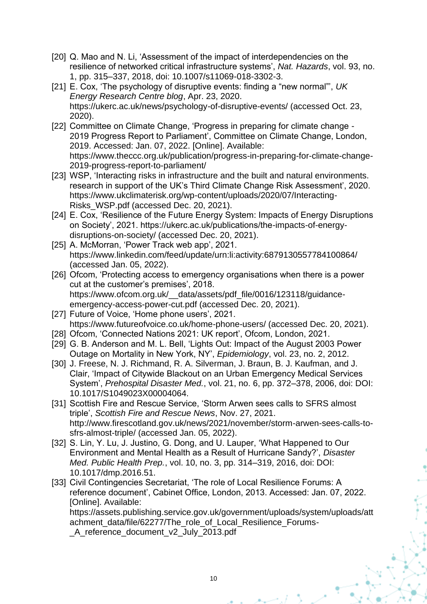- [20] Q. Mao and N. Li, 'Assessment of the impact of interdependencies on the resilience of networked critical infrastructure systems', *Nat. Hazards*, vol. 93, no. 1, pp. 315–337, 2018, doi: 10.1007/s11069-018-3302-3.
- [21] E. Cox, 'The psychology of disruptive events: finding a "new normal"', *UK Energy Research Centre blog*, Apr. 23, 2020. https://ukerc.ac.uk/news/psychology-of-disruptive-events/ (accessed Oct. 23, 2020).
- [22] Committee on Climate Change, 'Progress in preparing for climate change -2019 Progress Report to Parliament', Committee on Climate Change, London, 2019. Accessed: Jan. 07, 2022. [Online]. Available: https://www.theccc.org.uk/publication/progress-in-preparing-for-climate-change-2019-progress-report-to-parliament/
- [23] WSP, 'Interacting risks in infrastructure and the built and natural environments. research in support of the UK's Third Climate Change Risk Assessment', 2020. https://www.ukclimaterisk.org/wp-content/uploads/2020/07/Interacting-Risks\_WSP.pdf (accessed Dec. 20, 2021).
- [24] E. Cox, 'Resilience of the Future Energy System: Impacts of Energy Disruptions on Society', 2021. https://ukerc.ac.uk/publications/the-impacts-of-energydisruptions-on-society/ (accessed Dec. 20, 2021).
- [25] A. McMorran, 'Power Track web app', 2021. https://www.linkedin.com/feed/update/urn:li:activity:6879130557784100864/ (accessed Jan. 05, 2022).
- [26] Ofcom, 'Protecting access to emergency organisations when there is a power cut at the customer's premises', 2018. https://www.ofcom.org.uk/ data/assets/pdf file/0016/123118/guidanceemergency-access-power-cut.pdf (accessed Dec. 20, 2021).
- [27] Future of Voice, 'Home phone users', 2021. https://www.futureofvoice.co.uk/home-phone-users/ (accessed Dec. 20, 2021).
- [28] Ofcom, 'Connected Nations 2021: UK report', Ofcom, London, 2021.
- [29] G. B. Anderson and M. L. Bell, 'Lights Out: Impact of the August 2003 Power Outage on Mortality in New York, NY', *Epidemiology*, vol. 23, no. 2, 2012.
- [30] J. Freese, N. J. Richmand, R. A. Silverman, J. Braun, B. J. Kaufman, and J. Clair, 'Impact of Citywide Blackout on an Urban Emergency Medical Services System', *Prehospital Disaster Med.*, vol. 21, no. 6, pp. 372–378, 2006, doi: DOI: 10.1017/S1049023X00004064.
- [31] Scottish Fire and Rescue Service, 'Storm Arwen sees calls to SFRS almost triple', *Scottish Fire and Rescue News*, Nov. 27, 2021. http://www.firescotland.gov.uk/news/2021/november/storm-arwen-sees-calls-tosfrs-almost-triple/ (accessed Jan. 05, 2022).
- [32] S. Lin, Y. Lu, J. Justino, G. Dong, and U. Lauper, 'What Happened to Our Environment and Mental Health as a Result of Hurricane Sandy?', *Disaster Med. Public Health Prep.*, vol. 10, no. 3, pp. 314–319, 2016, doi: DOI: 10.1017/dmp.2016.51.
- [33] Civil Contingencies Secretariat, 'The role of Local Resilience Forums: A reference document', Cabinet Office, London, 2013. Accessed: Jan. 07, 2022. [Online]. Available:

https://assets.publishing.service.gov.uk/government/uploads/system/uploads/att achment data/file/62277/The role of Local Resilience Forums-

\_A\_reference\_document\_v2\_July\_2013.pdf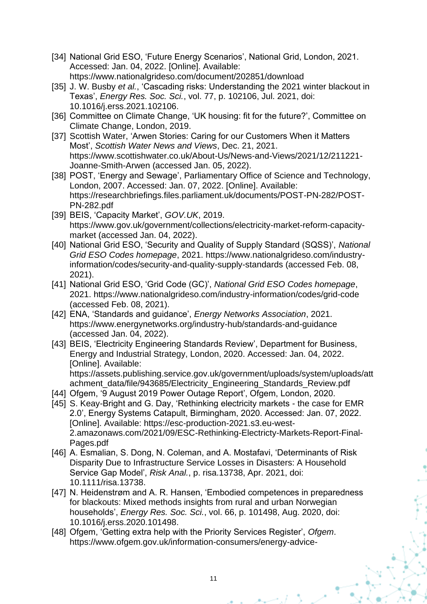- [34] National Grid ESO, 'Future Energy Scenarios', National Grid, London, 2021. Accessed: Jan. 04, 2022. [Online]. Available: https://www.nationalgrideso.com/document/202851/download
- [35] J. W. Busby *et al.*, 'Cascading risks: Understanding the 2021 winter blackout in Texas', *Energy Res. Soc. Sci.*, vol. 77, p. 102106, Jul. 2021, doi: 10.1016/j.erss.2021.102106.
- [36] Committee on Climate Change, 'UK housing: fit for the future?', Committee on Climate Change, London, 2019.
- [37] Scottish Water, 'Arwen Stories: Caring for our Customers When it Matters Most', *Scottish Water News and Views*, Dec. 21, 2021. https://www.scottishwater.co.uk/About-Us/News-and-Views/2021/12/211221- Joanne-Smith-Arwen (accessed Jan. 05, 2022).
- [38] POST, 'Energy and Sewage', Parliamentary Office of Science and Technology, London, 2007. Accessed: Jan. 07, 2022. [Online]. Available: https://researchbriefings.files.parliament.uk/documents/POST-PN-282/POST-PN-282.pdf
- [39] BEIS, 'Capacity Market', *GOV.UK*, 2019. https://www.gov.uk/government/collections/electricity-market-reform-capacitymarket (accessed Jan. 04, 2022).
- [40] National Grid ESO, 'Security and Quality of Supply Standard (SQSS)', *National Grid ESO Codes homepage*, 2021. https://www.nationalgrideso.com/industryinformation/codes/security-and-quality-supply-standards (accessed Feb. 08, 2021).
- [41] National Grid ESO, 'Grid Code (GC)', *National Grid ESO Codes homepage*, 2021. https://www.nationalgrideso.com/industry-information/codes/grid-code (accessed Feb. 08, 2021).
- [42] ENA, 'Standards and guidance', *Energy Networks Association*, 2021. https://www.energynetworks.org/industry-hub/standards-and-guidance (accessed Jan. 04, 2022).
- [43] BEIS, 'Electricity Engineering Standards Review', Department for Business, Energy and Industrial Strategy, London, 2020. Accessed: Jan. 04, 2022. [Online]. Available: https://assets.publishing.service.gov.uk/government/uploads/system/uploads/att achment data/file/943685/Electricity Engineering Standards Review.pdf
- [44] Ofgem, '9 August 2019 Power Outage Report', Ofgem, London, 2020.
- [45] S. Keay-Bright and G. Day, 'Rethinking electricity markets the case for EMR 2.0', Energy Systems Catapult, Birmingham, 2020. Accessed: Jan. 07, 2022. [Online]. Available: https://esc-production-2021.s3.eu-west-2.amazonaws.com/2021/09/ESC-Rethinking-Electricty-Markets-Report-Final-Pages.pdf
- [46] A. Esmalian, S. Dong, N. Coleman, and A. Mostafavi, 'Determinants of Risk Disparity Due to Infrastructure Service Losses in Disasters: A Household Service Gap Model', *Risk Anal.*, p. risa.13738, Apr. 2021, doi: 10.1111/risa.13738.
- [47] N. Heidenstrøm and A. R. Hansen, 'Embodied competences in preparedness for blackouts: Mixed methods insights from rural and urban Norwegian households', *Energy Res. Soc. Sci.*, vol. 66, p. 101498, Aug. 2020, doi: 10.1016/j.erss.2020.101498.
- [48] Ofgem, 'Getting extra help with the Priority Services Register', *Ofgem*. https://www.ofgem.gov.uk/information-consumers/energy-advice-